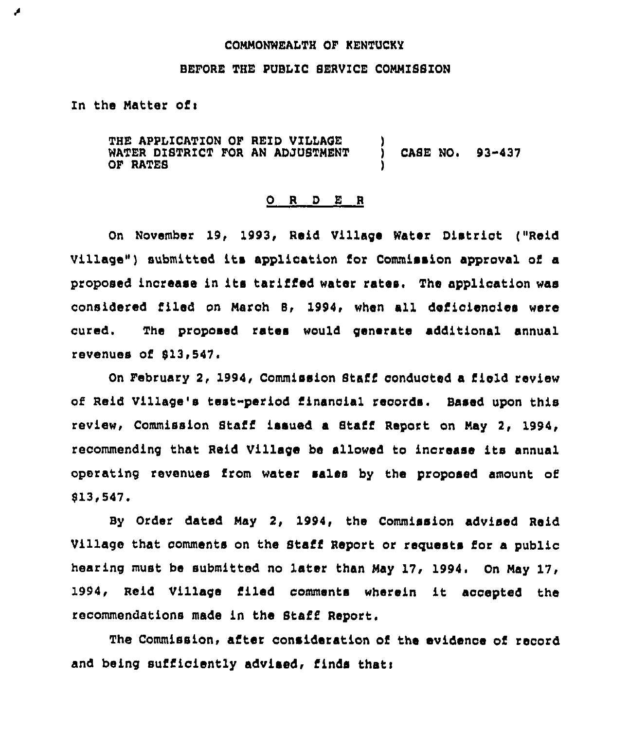#### COMMONWEALTH OF KENTUCKY

## BEFORE THE PUBLIC SERVICE COMMISSION

In the Matter of:

◢

THE APPLICATION OF REID VILLAGE WATER DISTRICT FOR AN ADJUSTMENT CASE NO.  $93 - 437$ OF RATES

## ORDER

On November 19, 1993, Reid Village Water District ("Reid Village") submitted its application for Commission approval of a proposed increase in its tariffed water rates. The application was considered filed on March B, 1994, when all deficiencies were The proposed rates would generate additional annual cured. revenues of \$13,547.

On February 2, 1994, Commission Staff conducted a field review of Reid Village's test-period financial records. Based upon this review, Commission Staff issued a Staff Report on May 2, 1994, recommending that Reid Village be allowed to increase its annual operating revenues from water sales by the proposed amount of  $$13,547.$ 

By Order dated May 2, 1994, the Commission advised Reid Village that comments on the Staff Report or requests for a public hearing must be submitted no later than May 17, 1994. On May 17, 1994, Reid Village filed comments wherein it accepted the recommendations made in the Staff Report.

The Commission, after consideration of the evidence of record and being sufficiently advised, finds that: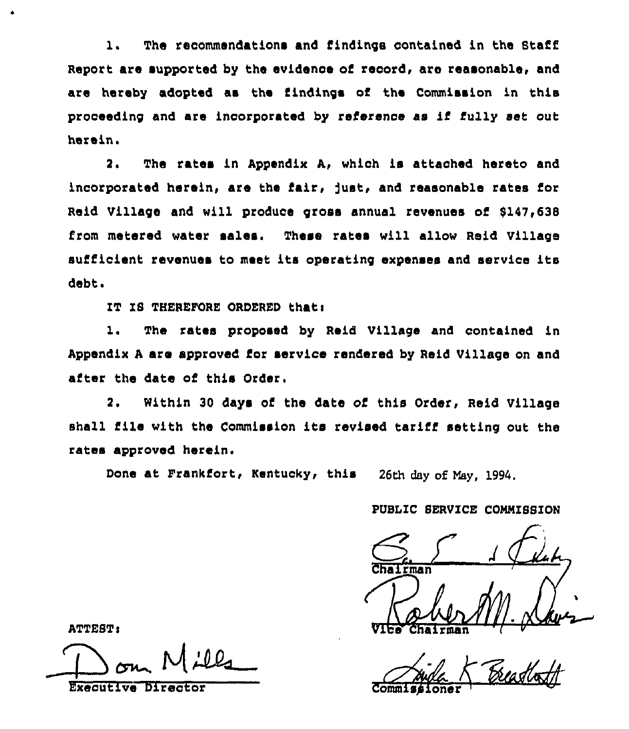1. The recommendations and findings contained in the Staff Report are supported by the evidence of record, are reasonable, and are hereby adopted as the findings of the Commission in this proceeding and are incorporated by reference as if fully set out herein.

2. The rates in Appendix A, which is attached hereto and incorporated herein, are the fair, fust, and reasonable rates for Raid Village and will produce gross annual revenues of 8147,638 from metered water sales. These rates will allow Reid Village sufficient revenues to meet its operating expenses and service its debt.

IT IS THEREFORE ORDERED that:

1. The rates proposed by Raid Village and contained in Appendix <sup>A</sup> are approved for service rendered by Reid Village on and after the date of this Order,

2. Within 30 days of the date of this Order, Reid Village shall file with the Commission its revised tariff setting out the rates approved herein.

Done at Frankfort, Kentucky, this 26th day of May, 1994,

PUBLIC SERVICE CONNISSION

Chairman  $\frac{1}{\sqrt{1-\frac{1}{\sqrt{1-\frac{1}{\sqrt{1-\frac{1}{\sqrt{1-\frac{1}{\sqrt{1-\frac{1}{\sqrt{1-\frac{1}{\sqrt{1-\frac{1}{\sqrt{1-\frac{1}{\sqrt{1-\frac{1}{\sqrt{1-\frac{1}{\sqrt{1-\frac{1}{\sqrt{1-\frac{1}{\sqrt{1-\frac{1}{\sqrt{1-\frac{1}{\sqrt{1-\frac{1}{\sqrt{1-\frac{1}{\sqrt{1-\frac{1}{\sqrt{1-\frac{1}{\sqrt{1-\frac{1}{\sqrt{1-\frac{1}{\sqrt{1-\frac{1}{\sqrt{1-\frac{1}{\sqrt{1-\frac{1}{\sqrt{1-\frac{1$ 

Executive Director